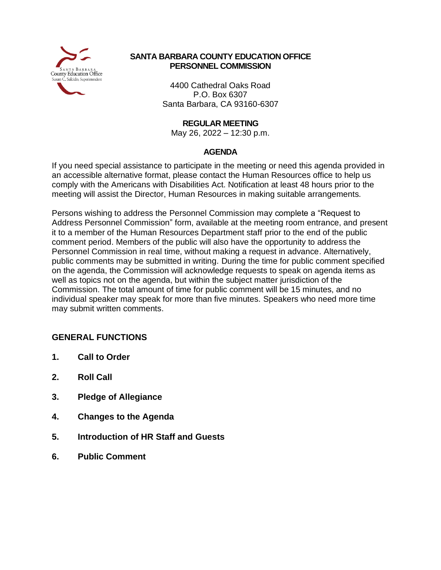

## **SANTA BARBARA COUNTY EDUCATION OFFICE PERSONNEL COMMISSION**

4400 Cathedral Oaks Road P.O. Box 6307 Santa Barbara, CA 93160-6307

**REGULAR MEETING**

May 26, 2022 – 12:30 p.m.

#### **AGENDA**

If you need special assistance to participate in the meeting or need this agenda provided in an accessible alternative format, please contact the Human Resources office to help us comply with the Americans with Disabilities Act. Notification at least 48 hours prior to the meeting will assist the Director, Human Resources in making suitable arrangements.

Persons wishing to address the Personnel Commission may complete a "Request to Address Personnel Commission" form, available at the meeting room entrance, and present it to a member of the Human Resources Department staff prior to the end of the public comment period. Members of the public will also have the opportunity to address the Personnel Commission in real time, without making a request in advance. Alternatively, public comments may be submitted in writing. During the time for public comment specified on the agenda, the Commission will acknowledge requests to speak on agenda items as well as topics not on the agenda, but within the subject matter jurisdiction of the Commission. The total amount of time for public comment will be 15 minutes, and no individual speaker may speak for more than five minutes. Speakers who need more time may submit written comments.

# **GENERAL FUNCTIONS**

- **1. Call to Order**
- **2. Roll Call**
- **3. Pledge of Allegiance**
- **4. Changes to the Agenda**
- **5. Introduction of HR Staff and Guests**
- **6. Public Comment**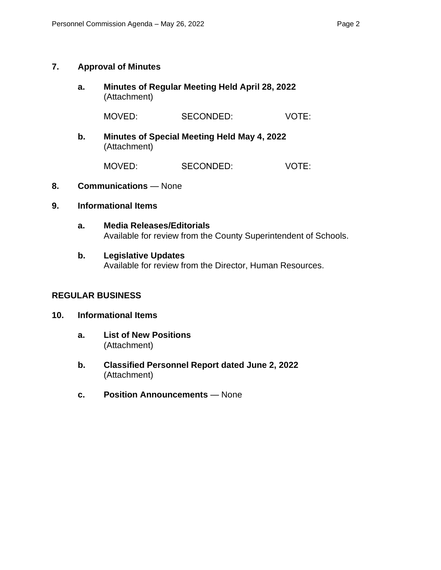## **7. Approval of Minutes**

**a. Minutes of Regular Meeting Held April 28, 2022** (Attachment)

MOVED: SECONDED: VOTE:

**b. Minutes of Special Meeting Held May 4, 2022** (Attachment)

MOVED: SECONDED: VOTE:

## **8. Communications** — None

## **9. Informational Items**

- **a. Media Releases/Editorials** Available for review from the County Superintendent of Schools.
- **b. Legislative Updates** Available for review from the Director, Human Resources.

# **REGULAR BUSINESS**

## **10. Informational Items**

- **a. List of New Positions** (Attachment)
- **b. Classified Personnel Report dated June 2, 2022** (Attachment)
- **c. Position Announcements** None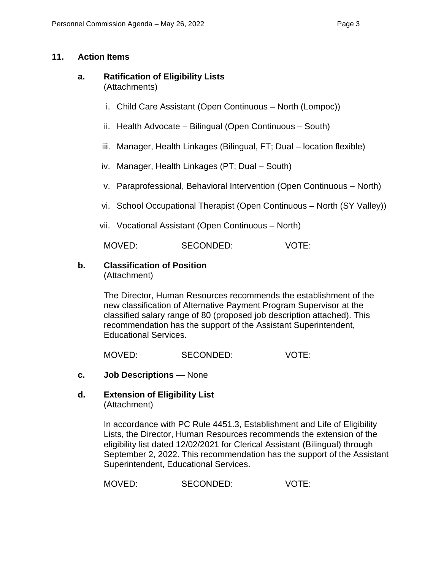## **11. Action Items**

### **a. Ratification of Eligibility Lists** (Attachments)

- i. Child Care Assistant (Open Continuous North (Lompoc))
- ii. Health Advocate Bilingual (Open Continuous South)
- iii. Manager, Health Linkages (Bilingual, FT; Dual location flexible)
- iv. Manager, Health Linkages (PT; Dual South)
- v. Paraprofessional, Behavioral Intervention (Open Continuous North)
- vi. School Occupational Therapist (Open Continuous North (SY Valley))
- vii. Vocational Assistant (Open Continuous North)

MOVED: SECONDED: VOTE:

**b. Classification of Position**

(Attachment)

The Director, Human Resources recommends the establishment of the new classification of Alternative Payment Program Supervisor at the classified salary range of 80 (proposed job description attached). This recommendation has the support of the Assistant Superintendent, Educational Services.

MOVED: SECONDED: VOTE:

- **c. Job Descriptions** None
- **d. Extension of Eligibility List** (Attachment)

In accordance with PC Rule 4451.3, Establishment and Life of Eligibility Lists, the Director, Human Resources recommends the extension of the eligibility list dated 12/02/2021 for Clerical Assistant (Bilingual) through September 2, 2022. This recommendation has the support of the Assistant Superintendent, Educational Services.

MOVED: SECONDED: VOTE: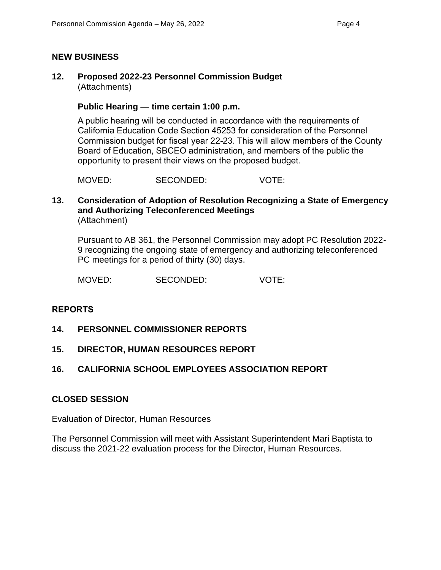#### **NEW BUSINESS**

## **12. Proposed 2022-23 Personnel Commission Budget** (Attachments)

### **Public Hearing — time certain 1:00 p.m.**

A public hearing will be conducted in accordance with the requirements of California Education Code Section 45253 for consideration of the Personnel Commission budget for fiscal year 22-23. This will allow members of the County Board of Education, SBCEO administration, and members of the public the opportunity to present their views on the proposed budget.

MOVED: SECONDED: VOTE:

#### **13. Consideration of Adoption of Resolution Recognizing a State of Emergency and Authorizing Teleconferenced Meetings** (Attachment)

Pursuant to AB 361, the Personnel Commission may adopt PC Resolution 2022- 9 recognizing the ongoing state of emergency and authorizing teleconferenced PC meetings for a period of thirty (30) days.

MOVED: SECONDED: VOTE:

## **REPORTS**

**14. PERSONNEL COMMISSIONER REPORTS**

## **15. DIRECTOR, HUMAN RESOURCES REPORT**

## **16. CALIFORNIA SCHOOL EMPLOYEES ASSOCIATION REPORT**

#### **CLOSED SESSION**

Evaluation of Director, Human Resources

The Personnel Commission will meet with Assistant Superintendent Mari Baptista to discuss the 2021-22 evaluation process for the Director, Human Resources.